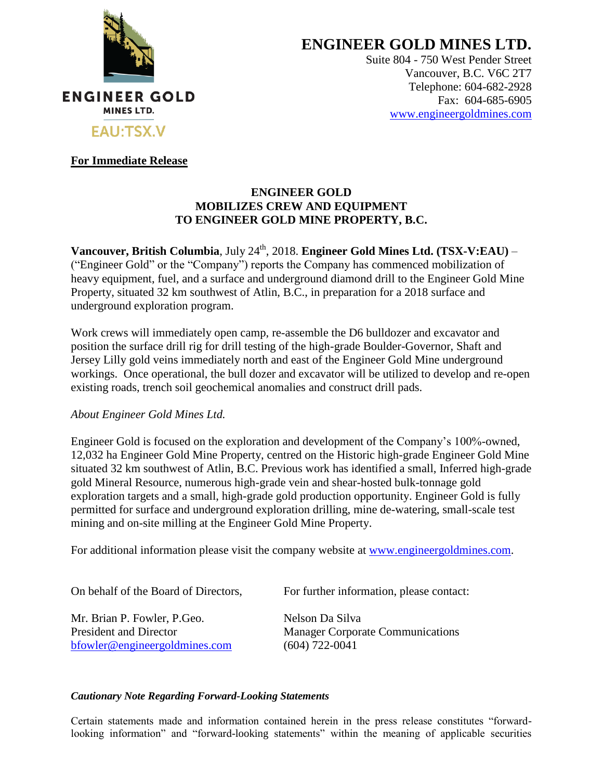

**ENGINEER GOLD MINES LTD.**

Suite 804 - 750 West Pender Street Vancouver, B.C. V6C 2T7 Telephone: 604-682-2928 Fax: 604-685-6905 [www.engineergoldmines.com](../../../AppData/Local/Microsoft/Windows/Temporary%20Internet%20Files/Content.Outlook/RLQM2AKD/www.engineergoldmines.com)

## **For Immediate Release**

## **ENGINEER GOLD MOBILIZES CREW AND EQUIPMENT TO ENGINEER GOLD MINE PROPERTY, B.C.**

**Vancouver, British Columbia**, July 24<sup>th</sup>, 2018. **Engineer Gold Mines Ltd. (TSX-V:EAU)** – ("Engineer Gold" or the "Company") reports the Company has commenced mobilization of heavy equipment, fuel, and a surface and underground diamond drill to the Engineer Gold Mine Property, situated 32 km southwest of Atlin, B.C., in preparation for a 2018 surface and underground exploration program.

Work crews will immediately open camp, re-assemble the D6 bulldozer and excavator and position the surface drill rig for drill testing of the high-grade Boulder-Governor, Shaft and Jersey Lilly gold veins immediately north and east of the Engineer Gold Mine underground workings. Once operational, the bull dozer and excavator will be utilized to develop and re-open existing roads, trench soil geochemical anomalies and construct drill pads.

## *About Engineer Gold Mines Ltd.*

Engineer Gold is focused on the exploration and development of the Company's 100%-owned, 12,032 ha Engineer Gold Mine Property, centred on the Historic high-grade Engineer Gold Mine situated 32 km southwest of Atlin, B.C. Previous work has identified a small, Inferred high-grade gold Mineral Resource, numerous high-grade vein and shear-hosted bulk-tonnage gold exploration targets and a small, high-grade gold production opportunity. Engineer Gold is fully permitted for surface and underground exploration drilling, mine de-watering, small-scale test mining and on-site milling at the Engineer Gold Mine Property.

For additional information please visit the company website at [www.engineergoldmines.com.](http://www.blindcreekresources.com/)

Mr. Brian P. Fowler, P. Geo. Nelson Da Silva [bfowler@engineergoldmines.com](../Administrative/bfowler@engineergoldmines.com) (604) 722-0041

On behalf of the Board of Directors, For further information, please contact:

President and Director Manager Corporate Communications

## *Cautionary Note Regarding Forward-Looking Statements*

Certain statements made and information contained herein in the press release constitutes "forwardlooking information" and "forward-looking statements" within the meaning of applicable securities